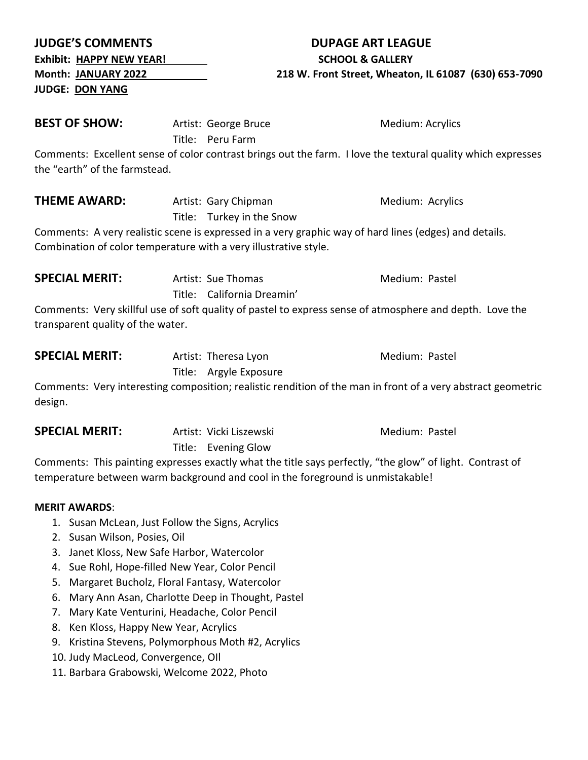| <b>Month: JANUARY 2022</b>                                       |  | 218 W. Front Street, Wheaton, IL 61087 (630) 653-7090 |                                                                                                                                                                                              |
|------------------------------------------------------------------|--|-------------------------------------------------------|----------------------------------------------------------------------------------------------------------------------------------------------------------------------------------------------|
| <b>JUDGE: DON YANG</b>                                           |  |                                                       |                                                                                                                                                                                              |
| <b>BEST OF SHOW:</b>                                             |  | Artist: George Bruce<br>Title: Peru Farm              | Medium: Acrylics                                                                                                                                                                             |
| the "earth" of the farmstead.                                    |  |                                                       | Comments: Excellent sense of color contrast brings out the farm. I love the textural quality which expresses                                                                                 |
| <b>THEME AWARD:</b>                                              |  | Artist: Gary Chipman<br>Title: Turkey in the Snow     | Medium: Acrylics                                                                                                                                                                             |
| Combination of color temperature with a very illustrative style. |  |                                                       | Comments: A very realistic scene is expressed in a very graphic way of hard lines (edges) and details.                                                                                       |
| <b>SPECIAL MERIT:</b>                                            |  | Artist: Sue Thomas<br>Title: California Dreamin'      | Medium: Pastel                                                                                                                                                                               |
| transparent quality of the water.                                |  |                                                       | Comments: Very skillful use of soft quality of pastel to express sense of atmosphere and depth. Love the                                                                                     |
| <b>SPECIAL MERIT:</b>                                            |  | Artist: Theresa Lyon<br>Title: Argyle Exposure        | Medium: Pastel                                                                                                                                                                               |
| design.                                                          |  |                                                       | Comments: Very interesting composition; realistic rendition of the man in front of a very abstract geometric                                                                                 |
| <b>SPECIAL MERIT:</b>                                            |  | Artist: Vicki Liszewski<br>Title: Evening Glow        | Medium: Pastel                                                                                                                                                                               |
|                                                                  |  |                                                       | Comments: This painting expresses exactly what the title says perfectly, "the glow" of light. Contrast of<br>temperature between warm background and cool in the foreground is unmistakable! |
| <b>MERIT AWARDS:</b>                                             |  |                                                       |                                                                                                                                                                                              |
| Susan McLean, Just Follow the Signs, Acrylics<br>1.              |  |                                                       |                                                                                                                                                                                              |
| Susan Wilson, Posies, Oil<br>2.                                  |  |                                                       |                                                                                                                                                                                              |
| Janet Kloss, New Safe Harbor, Watercolor<br>3.                   |  |                                                       |                                                                                                                                                                                              |
| Sue Rohl, Hope-filled New Year, Color Pencil<br>4.               |  |                                                       |                                                                                                                                                                                              |
| Margaret Bucholz, Floral Fantasy, Watercolor<br>5.               |  |                                                       |                                                                                                                                                                                              |
| 6.                                                               |  | Mary Ann Asan, Charlotte Deep in Thought, Pastel      |                                                                                                                                                                                              |

**JUDGE'S COMMENTS DUPAGE ART LEAGUE** Exhibit: HAPPY NEW YEAR! SCHOOL & GALLERY

- 7. Mary Kate Venturini, Headache, Color Pencil
- 8. Ken Kloss, Happy New Year, Acrylics
- 9. Kristina Stevens, Polymorphous Moth #2, Acrylics
- 10. Judy MacLeod, Convergence, OIl
- 11. Barbara Grabowski, Welcome 2022, Photo